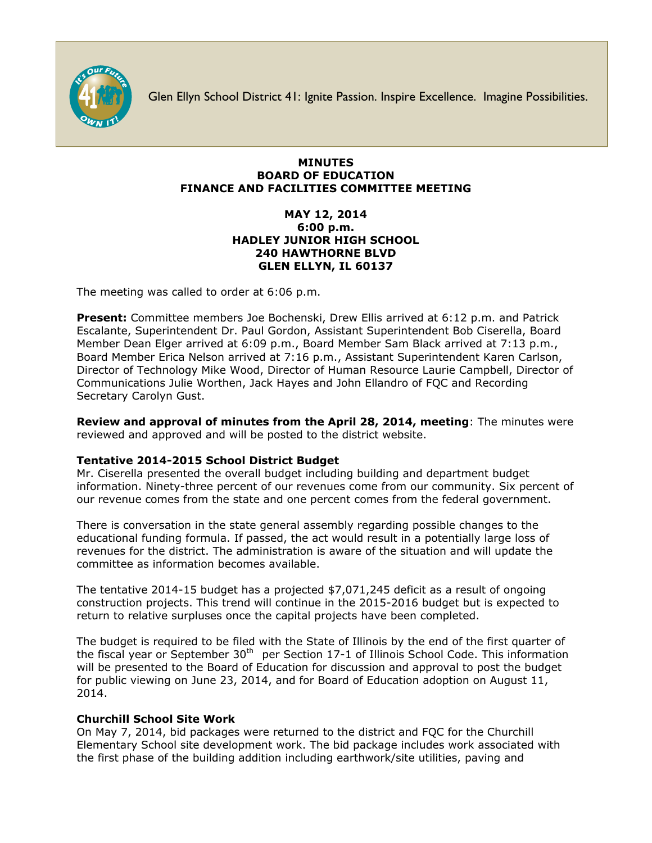

Glen Ellyn School District 41: Ignite Passion. Inspire Excellence. Imagine Possibilities.

## **MINUTES BOARD OF EDUCATION FINANCE AND FACILITIES COMMITTEE MEETING**

## **MAY 12, 2014 6:00 p.m. HADLEY JUNIOR HIGH SCHOOL 240 HAWTHORNE BLVD GLEN ELLYN, IL 60137**

The meeting was called to order at 6:06 p.m.

**Present:** Committee members Joe Bochenski, Drew Ellis arrived at 6:12 p.m. and Patrick Escalante, Superintendent Dr. Paul Gordon, Assistant Superintendent Bob Ciserella, Board Member Dean Elger arrived at 6:09 p.m., Board Member Sam Black arrived at 7:13 p.m., Board Member Erica Nelson arrived at 7:16 p.m., Assistant Superintendent Karen Carlson, Director of Technology Mike Wood, Director of Human Resource Laurie Campbell, Director of Communications Julie Worthen, Jack Hayes and John Ellandro of FQC and Recording Secretary Carolyn Gust.

**Review and approval of minutes from the April 28, 2014, meeting**: The minutes were reviewed and approved and will be posted to the district website.

## **Tentative 2014-2015 School District Budget**

Mr. Ciserella presented the overall budget including building and department budget information. Ninety-three percent of our revenues come from our community. Six percent of our revenue comes from the state and one percent comes from the federal government.

There is conversation in the state general assembly regarding possible changes to the educational funding formula. If passed, the act would result in a potentially large loss of revenues for the district. The administration is aware of the situation and will update the committee as information becomes available.

The tentative 2014-15 budget has a projected \$7,071,245 deficit as a result of ongoing construction projects. This trend will continue in the 2015-2016 budget but is expected to return to relative surpluses once the capital projects have been completed.

The budget is required to be filed with the State of Illinois by the end of the first quarter of the fiscal year or September  $30<sup>th</sup>$  per Section 17-1 of Illinois School Code. This information will be presented to the Board of Education for discussion and approval to post the budget for public viewing on June 23, 2014, and for Board of Education adoption on August 11, 2014.

## **Churchill School Site Work**

On May 7, 2014, bid packages were returned to the district and FQC for the Churchill Elementary School site development work. The bid package includes work associated with the first phase of the building addition including earthwork/site utilities, paving and